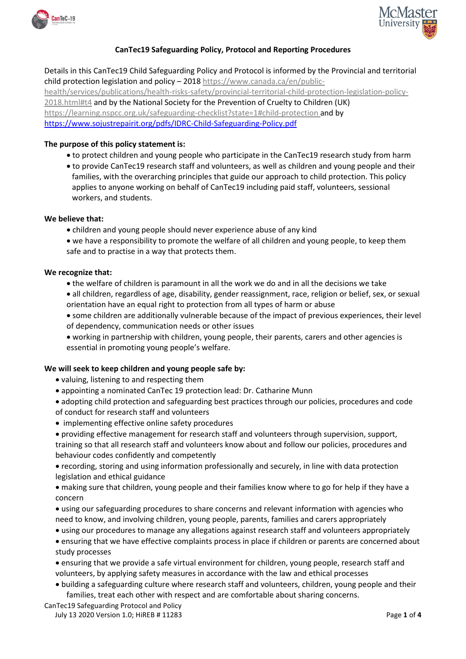



# **CanTec19 Safeguarding Policy, Protocol and Reporting Procedures**

Details in this CanTec19 Child Safeguarding Policy and Protocol is informed by the Provincial and territorial child protection legislation and policy – 2018 [https://www.canada.ca/en/public](https://www.canada.ca/en/public-health/services/publications/health-risks-safety/provincial-territorial-child-protection-legislation-policy-2018.html#t4)[health/services/publications/health-risks-safety/provincial-territorial-child-protection-legislation-policy-](https://www.canada.ca/en/public-health/services/publications/health-risks-safety/provincial-territorial-child-protection-legislation-policy-2018.html#t4)[2018.html#t4](https://www.canada.ca/en/public-health/services/publications/health-risks-safety/provincial-territorial-child-protection-legislation-policy-2018.html#t4) and by the National Society for the Prevention of Cruelty to Children (UK) <https://learning.nspcc.org.uk/safeguarding-checklist?state=1#child-protection> and by <https://www.sojustrepairit.org/pdfs/IDRC-Child-Safeguarding-Policy.pdf>

## **The purpose of this policy statement is:**

- to protect children and young people who participate in the CanTec19 research study from harm
- to provide CanTec19 research staff and volunteers, as well as children and young people and their families, with the overarching principles that guide our approach to child protection. This policy applies to anyone working on behalf of CanTec19 including paid staff, volunteers, sessional workers, and students.

## **We believe that:**

• children and young people should never experience abuse of any kind

• we have a responsibility to promote the welfare of all children and young people, to keep them safe and to practise in a way that protects them.

### **We recognize that:**

- the welfare of children is paramount in all the work we do and in all the decisions we take
- all children, regardless of age, disability, gender reassignment, race, religion or belief, sex, or sexual orientation have an equal right to protection from all types of harm or abuse
- some children are additionally vulnerable because of the impact of previous experiences, their level of dependency, communication needs or other issues
- working in partnership with children, young people, their parents, carers and other agencies is essential in promoting young people's welfare.

## **We will seek to keep children and young people safe by:**

- valuing, listening to and respecting them
- appointing a nominated CanTec 19 protection lead: Dr. Catharine Munn
- adopting child protection and safeguarding best practices through our policies, procedures and code of conduct for research staff and volunteers
- implementing effective online safety procedures
- providing effective management for research staff and volunteers through supervision, support, training so that all research staff and volunteers know about and follow our policies, procedures and behaviour codes confidently and competently
- recording, storing and using information professionally and securely, in line with data protection legislation and ethical guidance
- making sure that children, young people and their families know where to go for help if they have a concern
- using our safeguarding procedures to share concerns and relevant information with agencies who need to know, and involving children, young people, parents, families and carers appropriately
- using our procedures to manage any allegations against research staff and volunteers appropriately
- ensuring that we have effective complaints process in place if children or parents are concerned about study processes
- ensuring that we provide a safe virtual environment for children, young people, research staff and volunteers, by applying safety measures in accordance with the law and ethical processes
- building a safeguarding culture where research staff and volunteers, children, young people and their families, treat each other with respect and are comfortable about sharing concerns.

## CanTec19 Safeguarding Protocol and Policy

July 13 2020 Version 1.0; HiREB # 11283 Page **1** of **4**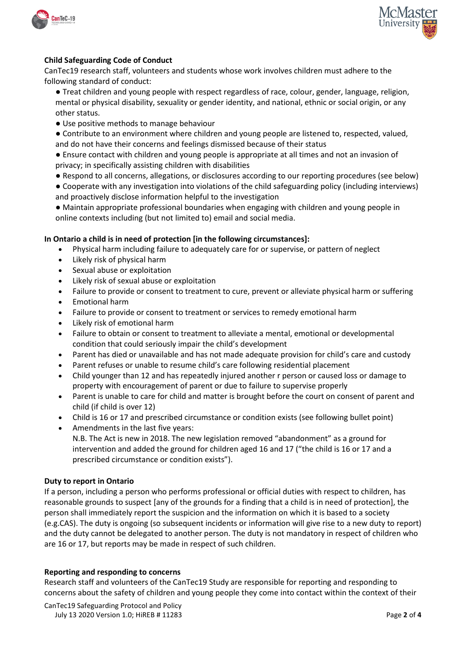



# **Child Safeguarding Code of Conduct**

CanTec19 research staff, volunteers and students whose work involves children must adhere to the following standard of conduct:

- Treat children and young people with respect regardless of race, colour, gender, language, religion, mental or physical disability, sexuality or gender identity, and national, ethnic or social origin, or any other status.
- Use positive methods to manage behaviour
- Contribute to an environment where children and young people are listened to, respected, valued, and do not have their concerns and feelings dismissed because of their status
- Ensure contact with children and young people is appropriate at all times and not an invasion of privacy; in specifically assisting children with disabilities
- Respond to all concerns, allegations, or disclosures according to our reporting procedures (see below)
- Cooperate with any investigation into violations of the child safeguarding policy (including interviews) and proactively disclose information helpful to the investigation
- Maintain appropriate professional boundaries when engaging with children and young people in online contexts including (but not limited to) email and social media.

## **In Ontario a child is in need of protection [in the following circumstances]:**

- Physical harm including failure to adequately care for or supervise, or pattern of neglect
- Likely risk of physical harm
- Sexual abuse or exploitation
- Likely risk of sexual abuse or exploitation
- Failure to provide or consent to treatment to cure, prevent or alleviate physical harm or suffering
- Emotional harm
- Failure to provide or consent to treatment or services to remedy emotional harm
- Likely risk of emotional harm
- Failure to obtain or consent to treatment to alleviate a mental, emotional or developmental condition that could seriously impair the child's development
- Parent has died or unavailable and has not made adequate provision for child's care and custody
- Parent refuses or unable to resume child's care following residential placement
- Child younger than 12 and has repeatedly injured another r person or caused loss or damage to property with encouragement of parent or due to failure to supervise properly
- Parent is unable to care for child and matter is brought before the court on consent of parent and child (if child is over 12)
- Child is 16 or 17 and prescribed circumstance or condition exists (see following bullet point)
- Amendments in the last five years: N.B. The Act is new in 2018. The new legislation removed "abandonment" as a ground for intervention and added the ground for children aged 16 and 17 ("the child is 16 or 17 and a prescribed circumstance or condition exists").

#### **Duty to report in Ontario**

If a person, including a person who performs professional or official duties with respect to children, has reasonable grounds to suspect [any of the grounds for a finding that a child is in need of protection], the person shall immediately report the suspicion and the information on which it is based to a society (e.g.CAS). The duty is ongoing (so subsequent incidents or information will give rise to a new duty to report) and the duty cannot be delegated to another person. The duty is not mandatory in respect of children who are 16 or 17, but reports may be made in respect of such children.

#### **Reporting and responding to concerns**

Research staff and volunteers of the CanTec19 Study are responsible for reporting and responding to concerns about the safety of children and young people they come into contact within the context of their

CanTec19 Safeguarding Protocol and Policy July 13 2020 Version 1.0; HiREB # 11283 Page **2** of **4**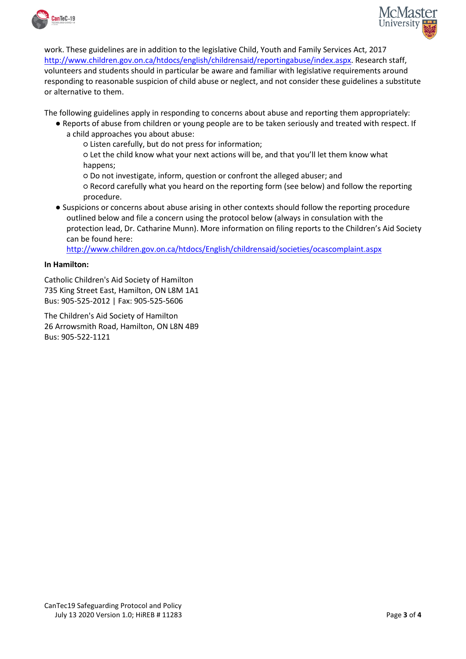



work. These guidelines are in addition to the legislative Child, Youth and Family Services Act, 2017 [http://www.children.gov.on.ca/htdocs/english/childrensaid/reportingabuse/index.aspx.](http://www.children.gov.on.ca/htdocs/english/childrensaid/reportingabuse/index.aspx) Research staff, volunteers and students should in particular be aware and familiar with legislative requirements around responding to reasonable suspicion of child abuse or neglect, and not consider these guidelines a substitute or alternative to them.

The following guidelines apply in responding to concerns about abuse and reporting them appropriately:

- Reports of abuse from children or young people are to be taken seriously and treated with respect. If a child approaches you about abuse:
	- Listen carefully, but do not press for information;

○ Let the child know what your next actions will be, and that you'll let them know what happens;

○ Do not investigate, inform, question or confront the alleged abuser; and

○ Record carefully what you heard on the reporting form (see below) and follow the reporting procedure.

● Suspicions or concerns about abuse arising in other contexts should follow the reporting procedure outlined below and file a concern using the protocol below (always in consulation with the protection lead, Dr. Catharine Munn). More information on filing reports to the Children's Aid Society can be found here:

<http://www.children.gov.on.ca/htdocs/English/childrensaid/societies/ocascomplaint.aspx>

### **In Hamilton:**

Catholic Children's Aid Society of Hamilton 735 King Street East, Hamilton, ON L8M 1A1 Bus: 905-525-2012 | Fax: 905-525-5606

The Children's Aid Society of Hamilton 26 Arrowsmith Road, Hamilton, ON L8N 4B9 Bus: 905-522-1121